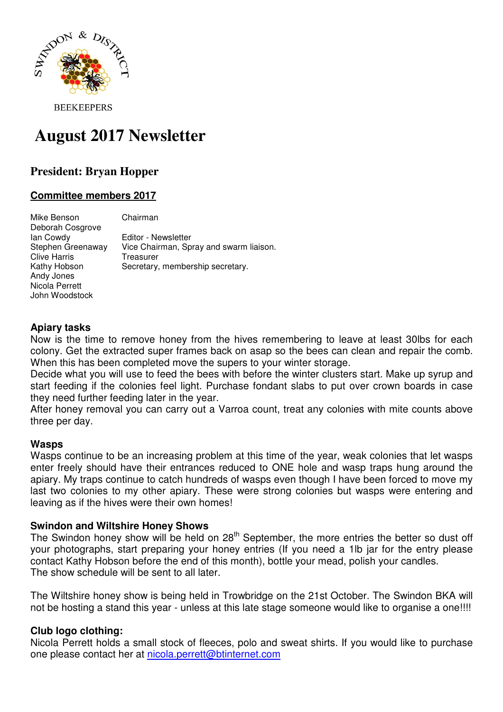

**BEEKEEPERS** 

# **August 2017 Newsletter**

# **President: Bryan Hopper**

# **Committee members 2017**

Mike Benson Chairman Deborah Cosgrove Ian Cowdy<br>Stephen Greenaway Vice Chairman, Sp Vice Chairman, Spray and swarm liaison. Clive Harris Treasurer Kathy Hobson Secretary, membership secretary. Andy Jones Nicola Perrett John Woodstock

### **Apiary tasks**

Now is the time to remove honey from the hives remembering to leave at least 30lbs for each colony. Get the extracted super frames back on asap so the bees can clean and repair the comb. When this has been completed move the supers to your winter storage.

Decide what you will use to feed the bees with before the winter clusters start. Make up syrup and start feeding if the colonies feel light. Purchase fondant slabs to put over crown boards in case they need further feeding later in the year.

After honey removal you can carry out a Varroa count, treat any colonies with mite counts above three per day.

#### **Wasps**

Wasps continue to be an increasing problem at this time of the year, weak colonies that let wasps enter freely should have their entrances reduced to ONE hole and wasp traps hung around the apiary. My traps continue to catch hundreds of wasps even though I have been forced to move my last two colonies to my other apiary. These were strong colonies but wasps were entering and leaving as if the hives were their own homes!

#### **Swindon and Wiltshire Honey Shows**

The Swindon honey show will be held on  $28<sup>th</sup>$  September, the more entries the better so dust off your photographs, start preparing your honey entries (If you need a 1lb jar for the entry please contact Kathy Hobson before the end of this month), bottle your mead, polish your candles. The show schedule will be sent to all later.

The Wiltshire honey show is being held in Trowbridge on the 21st October. The Swindon BKA will not be hosting a stand this year - unless at this late stage someone would like to organise a one!!!!

# **Club logo clothing:**

Nicola Perrett holds a small stock of fleeces, polo and sweat shirts. If you would like to purchase one please contact her at nicola.perrett@btinternet.com